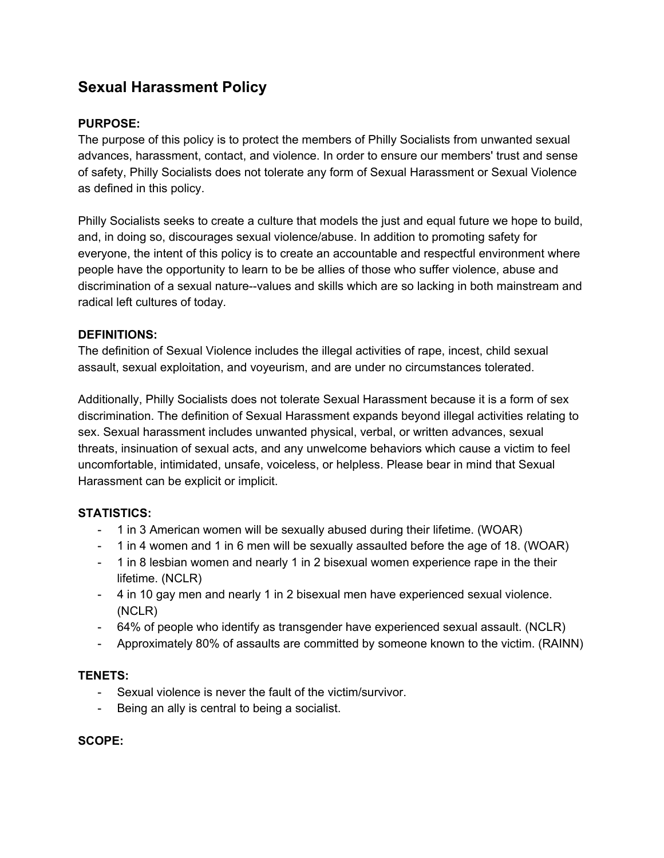# **Sexual Harassment Policy**

# **PURPOSE:**

The purpose of this policy is to protect the members of Philly Socialists from unwanted sexual advances, harassment, contact, and violence. In order to ensure our members' trust and sense of safety, Philly Socialists does not tolerate any form of Sexual Harassment or Sexual Violence as defined in this policy.

Philly Socialists seeks to create a culture that models the just and equal future we hope to build, and, in doing so, discourages sexual violence/abuse. In addition to promoting safety for everyone, the intent of this policy is to create an accountable and respectful environment where people have the opportunity to learn to be be allies of those who suffer violence, abuse and discrimination of a sexual nature--values and skills which are so lacking in both mainstream and radical left cultures of today*.*

## **DEFINITIONS:**

The definition of Sexual Violence includes the illegal activities of rape, incest, child sexual assault, sexual exploitation, and voyeurism, and are under no circumstances tolerated.

Additionally, Philly Socialists does not tolerate Sexual Harassment because it is a form of sex discrimination. The definition of Sexual Harassment expands beyond illegal activities relating to sex. Sexual harassment includes unwanted physical, verbal, or written advances, sexual threats, insinuation of sexual acts, and any unwelcome behaviors which cause a victim to feel uncomfortable, intimidated, unsafe, voiceless, or helpless. Please bear in mind that Sexual Harassment can be explicit or implicit.

## **STATISTICS:**

- 1 in 3 American women will be sexually abused during their lifetime. (WOAR)
- 1 in 4 women and 1 in 6 men will be sexually assaulted before the age of 18. (WOAR)
- 1 in 8 lesbian women and nearly 1 in 2 bisexual women experience rape in the their lifetime. (NCLR)
- 4 in 10 gay men and nearly 1 in 2 bisexual men have experienced sexual violence. (NCLR)
- 64% of people who identify as transgender have experienced sexual assault. (NCLR)
- Approximately 80% of assaults are committed by someone known to the victim. (RAINN)

## **TENETS:**

- Sexual violence is never the fault of the victim/survivor.
- Being an ally is central to being a socialist.

#### **SCOPE:**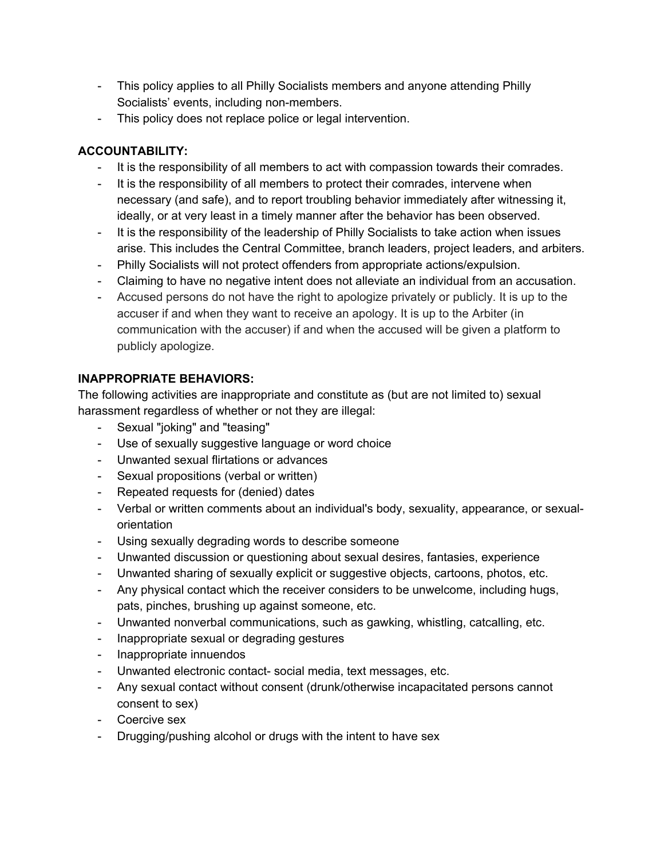- This policy applies to all Philly Socialists members and anyone attending Philly Socialists' events, including non-members.
- This policy does not replace police or legal intervention.

# **ACCOUNTABILITY:**

- It is the responsibility of all members to act with compassion towards their comrades.
- It is the responsibility of all members to protect their comrades, intervene when necessary (and safe), and to report troubling behavior immediately after witnessing it, ideally, or at very least in a timely manner after the behavior has been observed.
- It is the responsibility of the leadership of Philly Socialists to take action when issues arise. This includes the Central Committee, branch leaders, project leaders, and arbiters.
- Philly Socialists will not protect offenders from appropriate actions/expulsion.
- Claiming to have no negative intent does not alleviate an individual from an accusation.
- Accused persons do not have the right to apologize privately or publicly. It is up to the accuser if and when they want to receive an apology. It is up to the Arbiter (in communication with the accuser) if and when the accused will be given a platform to publicly apologize.

# **INAPPROPRIATE BEHAVIORS:**

The following activities are inappropriate and constitute as (but are not limited to) sexual harassment regardless of whether or not they are illegal:

- Sexual "joking" and "teasing"
- Use of sexually suggestive language or word choice
- Unwanted sexual flirtations or advances
- Sexual propositions (verbal or written)
- Repeated requests for (denied) dates
- Verbal or written comments about an individual's body, sexuality, appearance, or sexualorientation
- Using sexually degrading words to describe someone
- Unwanted discussion or questioning about sexual desires, fantasies, experience
- Unwanted sharing of sexually explicit or suggestive objects, cartoons, photos, etc.
- Any physical contact which the receiver considers to be unwelcome, including hugs, pats, pinches, brushing up against someone, etc.
- Unwanted nonverbal communications, such as gawking, whistling, catcalling, etc.
- Inappropriate sexual or degrading gestures
- Inappropriate innuendos
- Unwanted electronic contact-social media, text messages, etc.
- Any sexual contact without consent (drunk/otherwise incapacitated persons cannot consent to sex)
- Coercive sex
- Drugging/pushing alcohol or drugs with the intent to have sex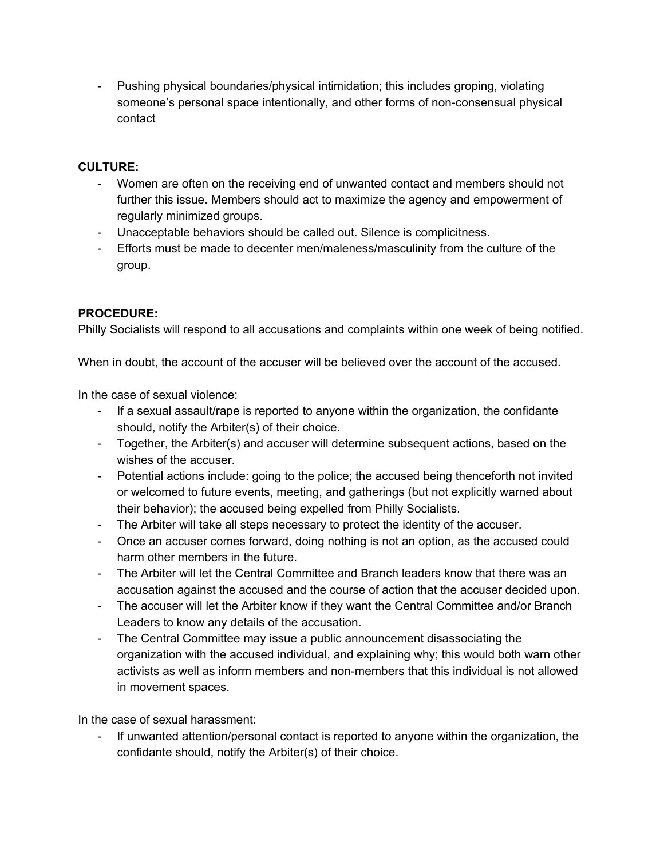Pushing physical boundaries/physical intimidation; this includes groping, violating someone's personal space intentionally, and other forms of non-consensual physical contact

## **CULTURE:**

- Women are often on the receiving end of unwanted contact and members should not further this issue. Members should act to maximize the agency and empowerment of regularly minimized groups.
- Unacceptable behaviors should be called out. Silence is complicitness.
- Efforts must be made to decenter men/maleness/masculinity from the culture of the group.

# **PROCEDURE:**

Philly Socialists will respond to all accusations and complaints within one week of being notified.

When in doubt, the account of the accuser will be believed over the account of the accused.

In the case of sexual violence:

- If a sexual assault/rape is reported to anyone within the organization, the confidante should, notify the Arbiter(s) of their choice.
- Together, the Arbiter(s) and accuser will determine subsequent actions, based on the wishes of the accuser.
- Potential actions include: going to the police; the accused being thenceforth not invited or welcomed to future events, meeting, and gatherings (but not explicitly warned about their behavior); the accused being expelled from Philly Socialists.
- The Arbiter will take all steps necessary to protect the identity of the accuser.
- Once an accuser comes forward, doing nothing is not an option, as the accused could harm other members in the future.
- The Arbiter will let the Central Committee and Branch leaders know that there was an accusation against the accused and the course of action that the accuser decided upon.
- The accuser will let the Arbiter know if they want the Central Committee and/or Branch Leaders to know any details of the accusation.
- The Central Committee may issue a public announcement disassociating the organization with the accused individual, and explaining why; this would both warn other activists as well as inform members and non-members that this individual is not allowed in movement spaces.

In the case of sexual harassment:

 If unwanted attention/personal contact is reported to anyone within the organization, the confidante should, notify the Arbiter(s) of their choice.